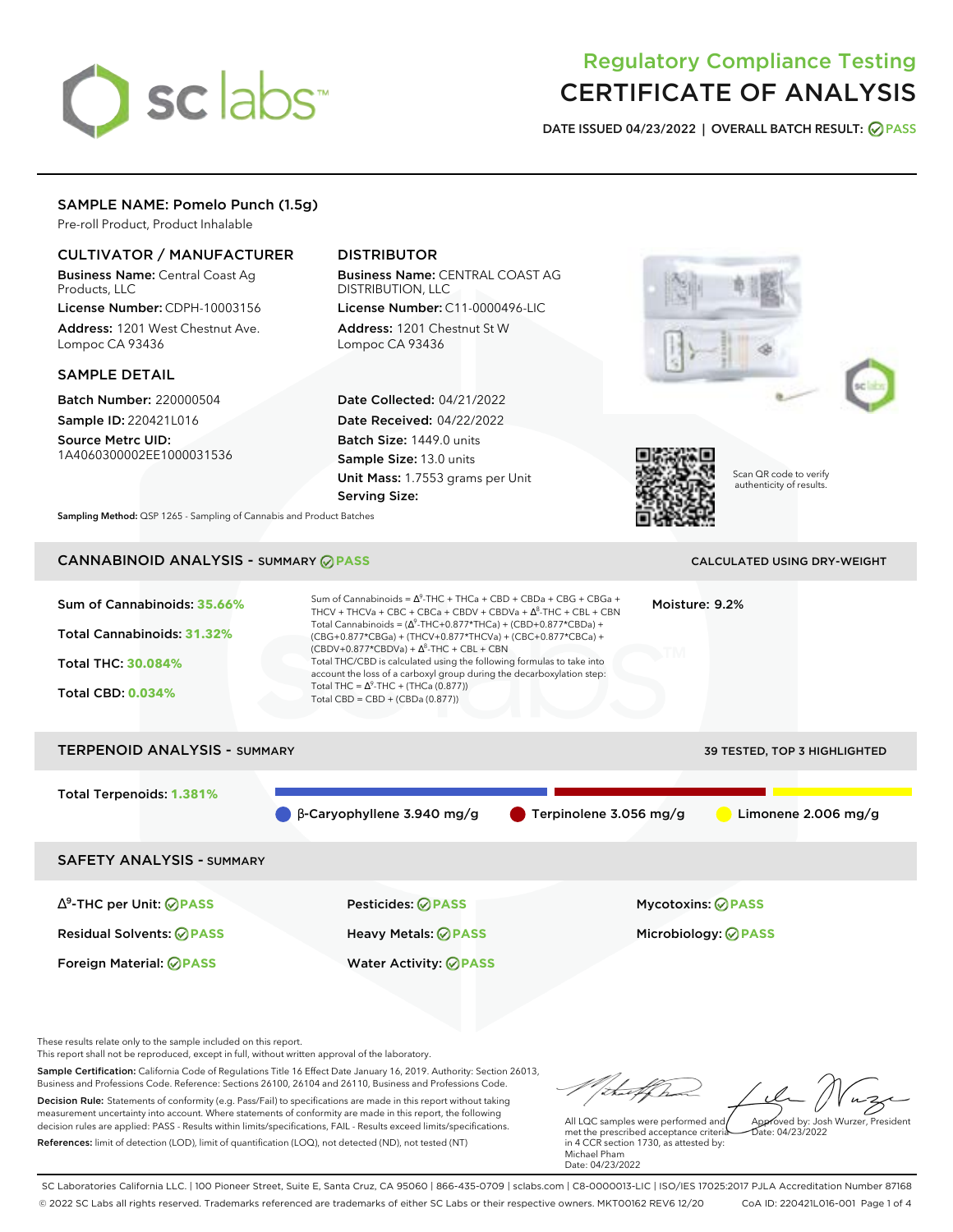# sclabs<sup>\*</sup>

# Regulatory Compliance Testing CERTIFICATE OF ANALYSIS

**DATE ISSUED 04/23/2022 | OVERALL BATCH RESULT: PASS**

## SAMPLE NAME: Pomelo Punch (1.5g)

Pre-roll Product, Product Inhalable

## CULTIVATOR / MANUFACTURER

Business Name: Central Coast Ag Products, LLC

License Number: CDPH-10003156 Address: 1201 West Chestnut Ave. Lompoc CA 93436

#### SAMPLE DETAIL

Batch Number: 220000504 Sample ID: 220421L016

Source Metrc UID: 1A4060300002EE1000031536

# DISTRIBUTOR

Business Name: CENTRAL COAST AG DISTRIBUTION, LLC License Number: C11-0000496-LIC

Address: 1201 Chestnut St W Lompoc CA 93436

Date Collected: 04/21/2022 Date Received: 04/22/2022 Batch Size: 1449.0 units Sample Size: 13.0 units Unit Mass: 1.7553 grams per Unit Serving Size:







Scan QR code to verify authenticity of results.

**Sampling Method:** QSP 1265 - Sampling of Cannabis and Product Batches

# **CANNABINOID ANALYSIS - SUMMARY @ PASS** CALCULATED USING DRY-WEIGHT

#### Sum of Cannabinoids: **35.66%** Total Cannabinoids: **31.32%** Total THC: **30.084%** Total CBD: **0.034%** Sum of Cannabinoids =  $\Delta^9$ -THC + THCa + CBD + CBDa + CBG + CBGa + THCV + THCVa + CBC + CBCa + CBDV + CBDVa +  $\Delta^8$ -THC + CBL + CBN Total Cannabinoids = ( $\Delta^9$ -THC+0.877\*THCa) + (CBD+0.877\*CBDa) + (CBG+0.877\*CBGa) + (THCV+0.877\*THCVa) + (CBC+0.877\*CBCa) +  $(CBDV+0.877*CBDVa) + \Delta^8$ -THC + CBL + CBN Total THC/CBD is calculated using the following formulas to take into account the loss of a carboxyl group during the decarboxylation step: Total THC =  $\Delta^9$ -THC + (THCa (0.877)) Total CBD = CBD + (CBDa (0.877)) Moisture: 9.2% TERPENOID ANALYSIS - SUMMARY 39 TESTED, TOP 3 HIGHLIGHTED Total Terpenoids: **1.381%**  $\bullet$  β-Caryophyllene 3.940 mg/g  $\bullet$  Terpinolene 3.056 mg/g  $\bullet$  Limonene 2.006 mg/g SAFETY ANALYSIS - SUMMARY

∆ 9 -THC per Unit: **PASS** Pesticides: **PASS** Mycotoxins: **PASS** Residual Solvents: **PASS** Heavy Metals: **PASS** Microbiology: **PASS**

Foreign Material: **PASS** Water Activity: **PASS**

These results relate only to the sample included on this report.

This report shall not be reproduced, except in full, without written approval of the laboratory.

Sample Certification: California Code of Regulations Title 16 Effect Date January 16, 2019. Authority: Section 26013, Business and Professions Code. Reference: Sections 26100, 26104 and 26110, Business and Professions Code. Decision Rule: Statements of conformity (e.g. Pass/Fail) to specifications are made in this report without taking measurement uncertainty into account. Where statements of conformity are made in this report, the following decision rules are applied: PASS - Results within limits/specifications, FAIL - Results exceed limits/specifications.

References: limit of detection (LOD), limit of quantification (LOQ), not detected (ND), not tested (NT)

Approved by: Josh Wurzer, President

 $ate: 04/23/2022$ 

All LQC samples were performed and met the prescribed acceptance criteria in 4 CCR section 1730, as attested by: Michael Pham Date: 04/23/2022

SC Laboratories California LLC. | 100 Pioneer Street, Suite E, Santa Cruz, CA 95060 | 866-435-0709 | sclabs.com | C8-0000013-LIC | ISO/IES 17025:2017 PJLA Accreditation Number 87168 © 2022 SC Labs all rights reserved. Trademarks referenced are trademarks of either SC Labs or their respective owners. MKT00162 REV6 12/20 CoA ID: 220421L016-001 Page 1 of 4